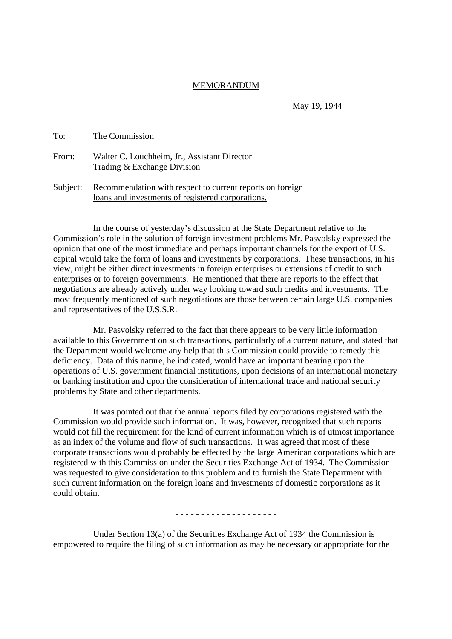## MEMORANDUM

May 19, 1944

| To:   | The Commission                                                              |
|-------|-----------------------------------------------------------------------------|
| From: | Walter C. Louchheim, Jr., Assistant Director<br>Trading & Exchange Division |

Subject: Recommendation with respect to current reports on foreign loans and investments of registered corporations.

In the course of yesterday's discussion at the State Department relative to the Commission's role in the solution of foreign investment problems Mr. Pasvolsky expressed the opinion that one of the most immediate and perhaps important channels for the export of U.S. capital would take the form of loans and investments by corporations. These transactions, in his view, might be either direct investments in foreign enterprises or extensions of credit to such enterprises or to foreign governments. He mentioned that there are reports to the effect that negotiations are already actively under way looking toward such credits and investments. The most frequently mentioned of such negotiations are those between certain large U.S. companies and representatives of the U.S.S.R.

Mr. Pasvolsky referred to the fact that there appears to be very little information available to this Government on such transactions, particularly of a current nature, and stated that the Department would welcome any help that this Commission could provide to remedy this deficiency. Data of this nature, he indicated, would have an important bearing upon the operations of U.S. government financial institutions, upon decisions of an international monetary or banking institution and upon the consideration of international trade and national security problems by State and other departments.

It was pointed out that the annual reports filed by corporations registered with the Commission would provide such information. It was, however, recognized that such reports would not fill the requirement for the kind of current information which is of utmost importance as an index of the volume and flow of such transactions. It was agreed that most of these corporate transactions would probably be effected by the large American corporations which are registered with this Commission under the Securities Exchange Act of 1934. The Commission was requested to give consideration to this problem and to furnish the State Department with such current information on the foreign loans and investments of domestic corporations as it could obtain.

- - - - - - - - - - - - - - - - - - - -

Under Section 13(a) of the Securities Exchange Act of 1934 the Commission is empowered to require the filing of such information as may be necessary or appropriate for the